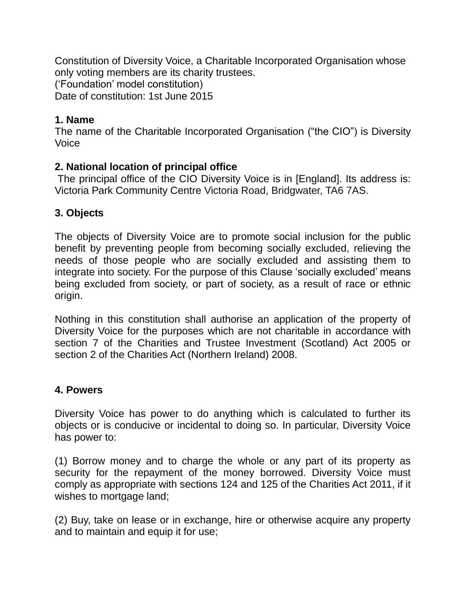Constitution of Diversity Voice, a Charitable Incorporated Organisation whose only voting members are its charity trustees. ('Foundation' model constitution) Date of constitution: 1st June 2015

## **1. Name**

The name of the Charitable Incorporated Organisation ("the CIO") is Diversity Voice

# **2. National location of principal office**

The principal office of the CIO Diversity Voice is in [England]. Its address is: Victoria Park Community Centre Victoria Road, Bridgwater, TA6 7AS.

## **3. Objects**

The objects of Diversity Voice are to promote social inclusion for the public benefit by preventing people from becoming socially excluded, relieving the needs of those people who are socially excluded and assisting them to integrate into society. For the purpose of this Clause 'socially excluded' means being excluded from society, or part of society, as a result of race or ethnic origin.

Nothing in this constitution shall authorise an application of the property of Diversity Voice for the purposes which are not charitable in accordance with section 7 of the Charities and Trustee Investment (Scotland) Act 2005 or section 2 of the Charities Act (Northern Ireland) 2008.

# **4. Powers**

Diversity Voice has power to do anything which is calculated to further its objects or is conducive or incidental to doing so. In particular, Diversity Voice has power to:

(1) Borrow money and to charge the whole or any part of its property as security for the repayment of the money borrowed. Diversity Voice must comply as appropriate with sections 124 and 125 of the Charities Act 2011, if it wishes to mortgage land;

(2) Buy, take on lease or in exchange, hire or otherwise acquire any property and to maintain and equip it for use;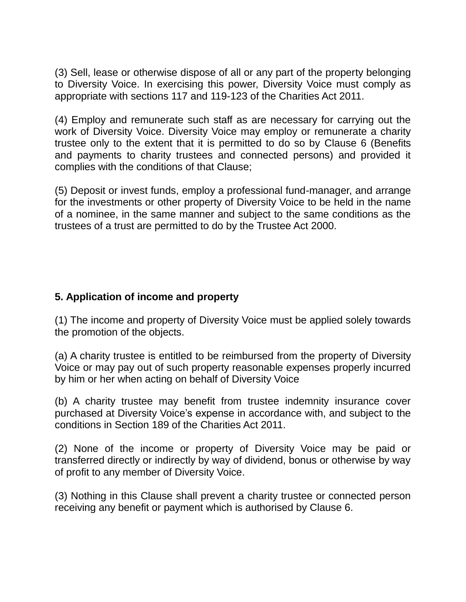(3) Sell, lease or otherwise dispose of all or any part of the property belonging to Diversity Voice. In exercising this power, Diversity Voice must comply as appropriate with sections 117 and 119-123 of the Charities Act 2011.

(4) Employ and remunerate such staff as are necessary for carrying out the work of Diversity Voice. Diversity Voice may employ or remunerate a charity trustee only to the extent that it is permitted to do so by Clause 6 (Benefits and payments to charity trustees and connected persons) and provided it complies with the conditions of that Clause;

(5) Deposit or invest funds, employ a professional fund-manager, and arrange for the investments or other property of Diversity Voice to be held in the name of a nominee, in the same manner and subject to the same conditions as the trustees of a trust are permitted to do by the Trustee Act 2000.

# **5. Application of income and property**

(1) The income and property of Diversity Voice must be applied solely towards the promotion of the objects.

(a) A charity trustee is entitled to be reimbursed from the property of Diversity Voice or may pay out of such property reasonable expenses properly incurred by him or her when acting on behalf of Diversity Voice

(b) A charity trustee may benefit from trustee indemnity insurance cover purchased at Diversity Voice's expense in accordance with, and subject to the conditions in Section 189 of the Charities Act 2011.

(2) None of the income or property of Diversity Voice may be paid or transferred directly or indirectly by way of dividend, bonus or otherwise by way of profit to any member of Diversity Voice.

(3) Nothing in this Clause shall prevent a charity trustee or connected person receiving any benefit or payment which is authorised by Clause 6.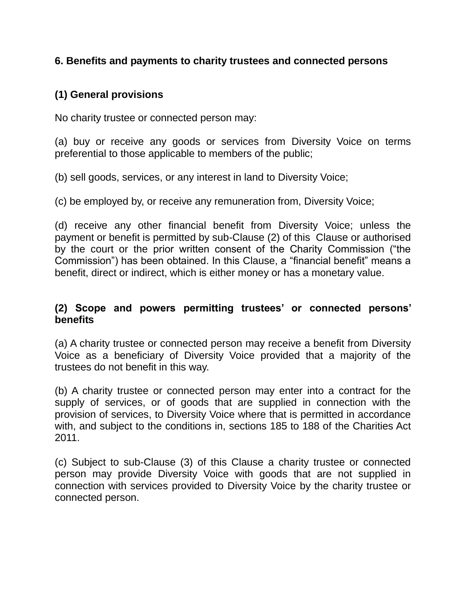### **6. Benefits and payments to charity trustees and connected persons**

# **(1) General provisions**

No charity trustee or connected person may:

(a) buy or receive any goods or services from Diversity Voice on terms preferential to those applicable to members of the public;

(b) sell goods, services, or any interest in land to Diversity Voice;

(c) be employed by, or receive any remuneration from, Diversity Voice;

(d) receive any other financial benefit from Diversity Voice; unless the payment or benefit is permitted by sub-Clause (2) of this Clause or authorised by the court or the prior written consent of the Charity Commission ("the Commission") has been obtained. In this Clause, a "financial benefit" means a benefit, direct or indirect, which is either money or has a monetary value.

### **(2) Scope and powers permitting trustees' or connected persons' benefits**

(a) A charity trustee or connected person may receive a benefit from Diversity Voice as a beneficiary of Diversity Voice provided that a majority of the trustees do not benefit in this way.

(b) A charity trustee or connected person may enter into a contract for the supply of services, or of goods that are supplied in connection with the provision of services, to Diversity Voice where that is permitted in accordance with, and subject to the conditions in, sections 185 to 188 of the Charities Act 2011.

(c) Subject to sub-Clause (3) of this Clause a charity trustee or connected person may provide Diversity Voice with goods that are not supplied in connection with services provided to Diversity Voice by the charity trustee or connected person.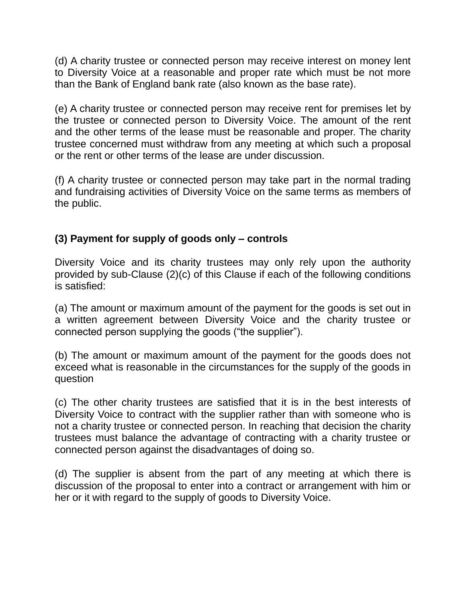(d) A charity trustee or connected person may receive interest on money lent to Diversity Voice at a reasonable and proper rate which must be not more than the Bank of England bank rate (also known as the base rate).

(e) A charity trustee or connected person may receive rent for premises let by the trustee or connected person to Diversity Voice. The amount of the rent and the other terms of the lease must be reasonable and proper. The charity trustee concerned must withdraw from any meeting at which such a proposal or the rent or other terms of the lease are under discussion.

(f) A charity trustee or connected person may take part in the normal trading and fundraising activities of Diversity Voice on the same terms as members of the public.

# **(3) Payment for supply of goods only – controls**

Diversity Voice and its charity trustees may only rely upon the authority provided by sub-Clause (2)(c) of this Clause if each of the following conditions is satisfied:

(a) The amount or maximum amount of the payment for the goods is set out in a written agreement between Diversity Voice and the charity trustee or connected person supplying the goods ("the supplier").

(b) The amount or maximum amount of the payment for the goods does not exceed what is reasonable in the circumstances for the supply of the goods in question

(c) The other charity trustees are satisfied that it is in the best interests of Diversity Voice to contract with the supplier rather than with someone who is not a charity trustee or connected person. In reaching that decision the charity trustees must balance the advantage of contracting with a charity trustee or connected person against the disadvantages of doing so.

(d) The supplier is absent from the part of any meeting at which there is discussion of the proposal to enter into a contract or arrangement with him or her or it with regard to the supply of goods to Diversity Voice.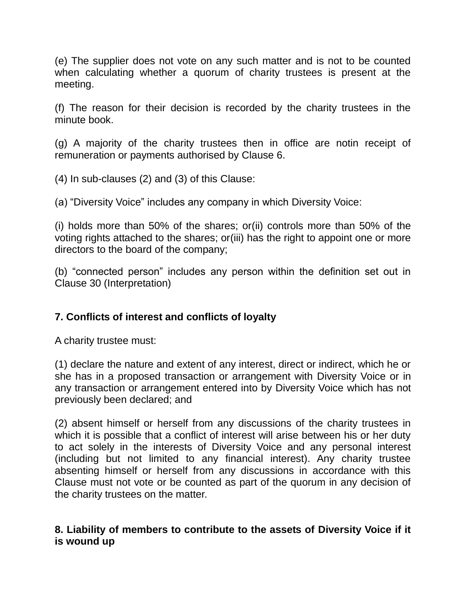(e) The supplier does not vote on any such matter and is not to be counted when calculating whether a quorum of charity trustees is present at the meeting.

(f) The reason for their decision is recorded by the charity trustees in the minute book.

(g) A majority of the charity trustees then in office are notin receipt of remuneration or payments authorised by Clause 6.

(4) In sub-clauses (2) and (3) of this Clause:

(a) "Diversity Voice" includes any company in which Diversity Voice:

(i) holds more than 50% of the shares; or(ii) controls more than 50% of the voting rights attached to the shares; or(iii) has the right to appoint one or more directors to the board of the company;

(b) "connected person" includes any person within the definition set out in Clause 30 (Interpretation)

# **7. Conflicts of interest and conflicts of loyalty**

A charity trustee must:

(1) declare the nature and extent of any interest, direct or indirect, which he or she has in a proposed transaction or arrangement with Diversity Voice or in any transaction or arrangement entered into by Diversity Voice which has not previously been declared; and

(2) absent himself or herself from any discussions of the charity trustees in which it is possible that a conflict of interest will arise between his or her duty to act solely in the interests of Diversity Voice and any personal interest (including but not limited to any financial interest). Any charity trustee absenting himself or herself from any discussions in accordance with this Clause must not vote or be counted as part of the quorum in any decision of the charity trustees on the matter.

# **8. Liability of members to contribute to the assets of Diversity Voice if it is wound up**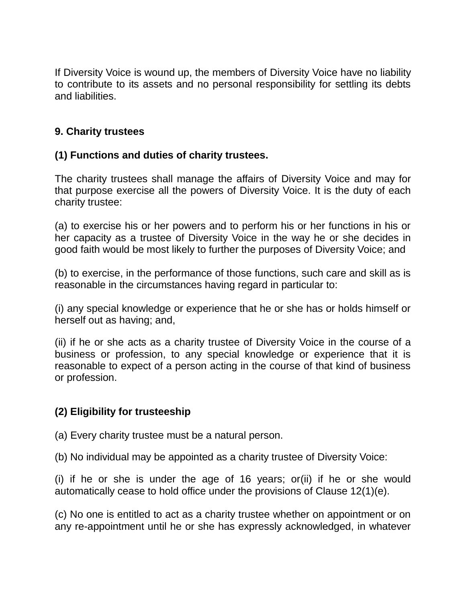If Diversity Voice is wound up, the members of Diversity Voice have no liability to contribute to its assets and no personal responsibility for settling its debts and liabilities.

# **9. Charity trustees**

# **(1) Functions and duties of charity trustees.**

The charity trustees shall manage the affairs of Diversity Voice and may for that purpose exercise all the powers of Diversity Voice. It is the duty of each charity trustee:

(a) to exercise his or her powers and to perform his or her functions in his or her capacity as a trustee of Diversity Voice in the way he or she decides in good faith would be most likely to further the purposes of Diversity Voice; and

(b) to exercise, in the performance of those functions, such care and skill as is reasonable in the circumstances having regard in particular to:

(i) any special knowledge or experience that he or she has or holds himself or herself out as having; and,

(ii) if he or she acts as a charity trustee of Diversity Voice in the course of a business or profession, to any special knowledge or experience that it is reasonable to expect of a person acting in the course of that kind of business or profession.

# **(2) Eligibility for trusteeship**

(a) Every charity trustee must be a natural person.

(b) No individual may be appointed as a charity trustee of Diversity Voice:

(i) if he or she is under the age of 16 years; or(ii) if he or she would automatically cease to hold office under the provisions of Clause 12(1)(e).

(c) No one is entitled to act as a charity trustee whether on appointment or on any re-appointment until he or she has expressly acknowledged, in whatever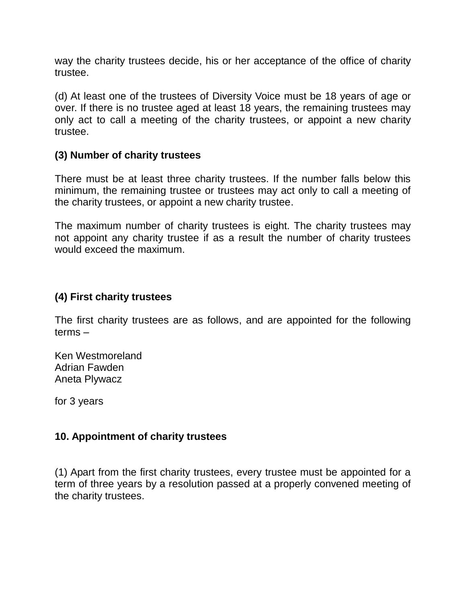way the charity trustees decide, his or her acceptance of the office of charity trustee.

(d) At least one of the trustees of Diversity Voice must be 18 years of age or over. If there is no trustee aged at least 18 years, the remaining trustees may only act to call a meeting of the charity trustees, or appoint a new charity trustee.

### **(3) Number of charity trustees**

There must be at least three charity trustees. If the number falls below this minimum, the remaining trustee or trustees may act only to call a meeting of the charity trustees, or appoint a new charity trustee.

The maximum number of charity trustees is eight. The charity trustees may not appoint any charity trustee if as a result the number of charity trustees would exceed the maximum.

### **(4) First charity trustees**

The first charity trustees are as follows, and are appointed for the following terms –

Ken Westmoreland Adrian Fawden Aneta Plywacz

for 3 years

### **10. Appointment of charity trustees**

(1) Apart from the first charity trustees, every trustee must be appointed for a term of three years by a resolution passed at a properly convened meeting of the charity trustees.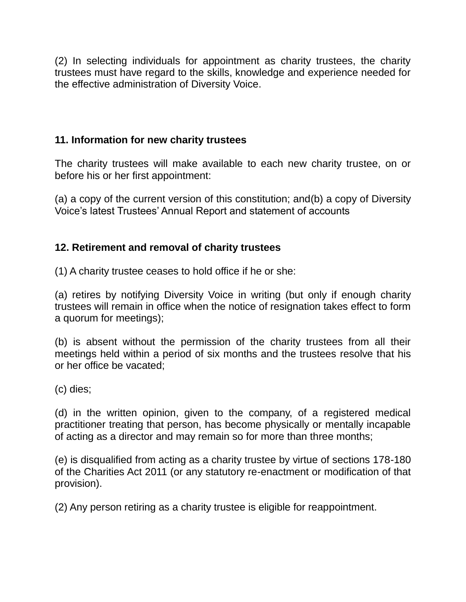(2) In selecting individuals for appointment as charity trustees, the charity trustees must have regard to the skills, knowledge and experience needed for the effective administration of Diversity Voice.

## **11. Information for new charity trustees**

The charity trustees will make available to each new charity trustee, on or before his or her first appointment:

(a) a copy of the current version of this constitution; and(b) a copy of Diversity Voice's latest Trustees' Annual Report and statement of accounts

# **12. Retirement and removal of charity trustees**

(1) A charity trustee ceases to hold office if he or she:

(a) retires by notifying Diversity Voice in writing (but only if enough charity trustees will remain in office when the notice of resignation takes effect to form a quorum for meetings);

(b) is absent without the permission of the charity trustees from all their meetings held within a period of six months and the trustees resolve that his or her office be vacated;

(c) dies;

(d) in the written opinion, given to the company, of a registered medical practitioner treating that person, has become physically or mentally incapable of acting as a director and may remain so for more than three months;

(e) is disqualified from acting as a charity trustee by virtue of sections 178-180 of the Charities Act 2011 (or any statutory re-enactment or modification of that provision).

(2) Any person retiring as a charity trustee is eligible for reappointment.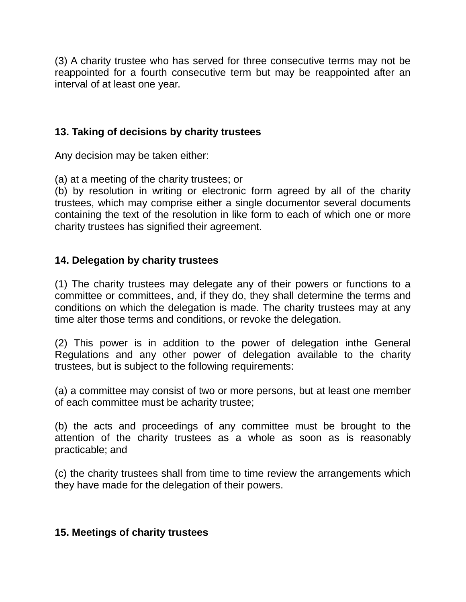(3) A charity trustee who has served for three consecutive terms may not be reappointed for a fourth consecutive term but may be reappointed after an interval of at least one year.

## **13. Taking of decisions by charity trustees**

Any decision may be taken either:

(a) at a meeting of the charity trustees; or

(b) by resolution in writing or electronic form agreed by all of the charity trustees, which may comprise either a single documentor several documents containing the text of the resolution in like form to each of which one or more charity trustees has signified their agreement.

# **14. Delegation by charity trustees**

(1) The charity trustees may delegate any of their powers or functions to a committee or committees, and, if they do, they shall determine the terms and conditions on which the delegation is made. The charity trustees may at any time alter those terms and conditions, or revoke the delegation.

(2) This power is in addition to the power of delegation inthe General Regulations and any other power of delegation available to the charity trustees, but is subject to the following requirements:

(a) a committee may consist of two or more persons, but at least one member of each committee must be acharity trustee;

(b) the acts and proceedings of any committee must be brought to the attention of the charity trustees as a whole as soon as is reasonably practicable; and

(c) the charity trustees shall from time to time review the arrangements which they have made for the delegation of their powers.

### **15. Meetings of charity trustees**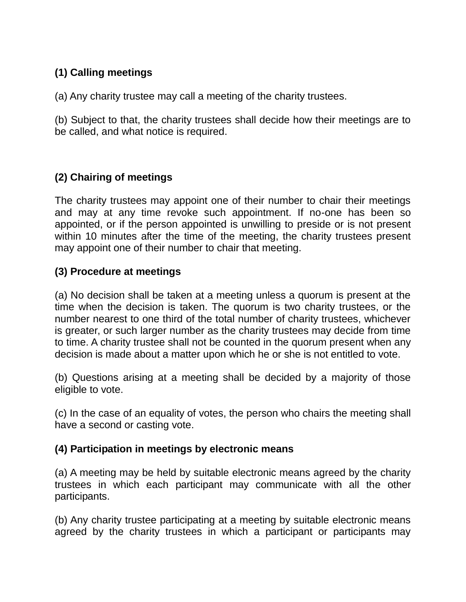# **(1) Calling meetings**

(a) Any charity trustee may call a meeting of the charity trustees.

(b) Subject to that, the charity trustees shall decide how their meetings are to be called, and what notice is required.

# **(2) Chairing of meetings**

The charity trustees may appoint one of their number to chair their meetings and may at any time revoke such appointment. If no-one has been so appointed, or if the person appointed is unwilling to preside or is not present within 10 minutes after the time of the meeting, the charity trustees present may appoint one of their number to chair that meeting.

# **(3) Procedure at meetings**

(a) No decision shall be taken at a meeting unless a quorum is present at the time when the decision is taken. The quorum is two charity trustees, or the number nearest to one third of the total number of charity trustees, whichever is greater, or such larger number as the charity trustees may decide from time to time. A charity trustee shall not be counted in the quorum present when any decision is made about a matter upon which he or she is not entitled to vote.

(b) Questions arising at a meeting shall be decided by a majority of those eligible to vote.

(c) In the case of an equality of votes, the person who chairs the meeting shall have a second or casting vote.

### **(4) Participation in meetings by electronic means**

(a) A meeting may be held by suitable electronic means agreed by the charity trustees in which each participant may communicate with all the other participants.

(b) Any charity trustee participating at a meeting by suitable electronic means agreed by the charity trustees in which a participant or participants may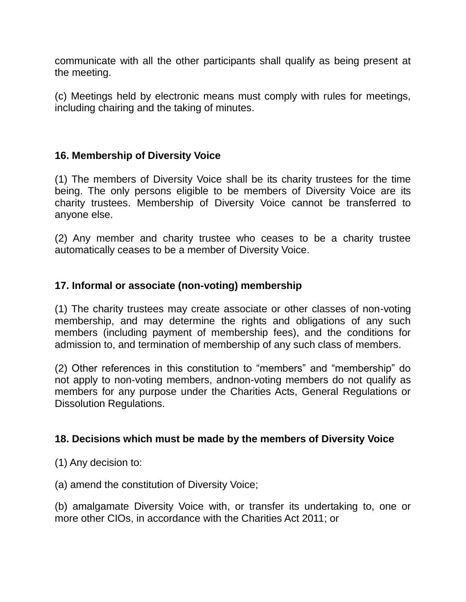communicate with all the other participants shall qualify as being present at the meeting.

(c) Meetings held by electronic means must comply with rules for meetings, including chairing and the taking of minutes.

# **16. Membership of Diversity Voice**

(1) The members of Diversity Voice shall be its charity trustees for the time being. The only persons eligible to be members of Diversity Voice are its charity trustees. Membership of Diversity Voice cannot be transferred to anyone else.

(2) Any member and charity trustee who ceases to be a charity trustee automatically ceases to be a member of Diversity Voice.

## **17. Informal or associate (non-voting) membership**

(1) The charity trustees may create associate or other classes of non-voting membership, and may determine the rights and obligations of any such members (including payment of membership fees), and the conditions for admission to, and termination of membership of any such class of members.

(2) Other references in this constitution to "members" and "membership" do not apply to non-voting members, andnon-voting members do not qualify as members for any purpose under the Charities Acts, General Regulations or Dissolution Regulations.

### **18. Decisions which must be made by the members of Diversity Voice**

(1) Any decision to:

(a) amend the constitution of Diversity Voice;

(b) amalgamate Diversity Voice with, or transfer its undertaking to, one or more other CIOs, in accordance with the Charities Act 2011; or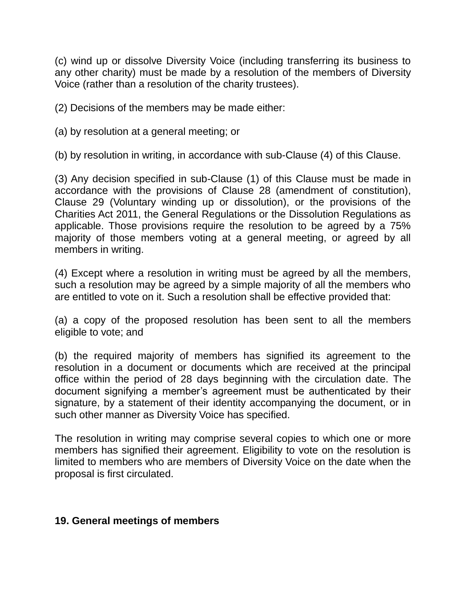(c) wind up or dissolve Diversity Voice (including transferring its business to any other charity) must be made by a resolution of the members of Diversity Voice (rather than a resolution of the charity trustees).

(2) Decisions of the members may be made either:

(a) by resolution at a general meeting; or

(b) by resolution in writing, in accordance with sub-Clause (4) of this Clause.

(3) Any decision specified in sub-Clause (1) of this Clause must be made in accordance with the provisions of Clause 28 (amendment of constitution), Clause 29 (Voluntary winding up or dissolution), or the provisions of the Charities Act 2011, the General Regulations or the Dissolution Regulations as applicable. Those provisions require the resolution to be agreed by a 75% majority of those members voting at a general meeting, or agreed by all members in writing.

(4) Except where a resolution in writing must be agreed by all the members, such a resolution may be agreed by a simple majority of all the members who are entitled to vote on it. Such a resolution shall be effective provided that:

(a) a copy of the proposed resolution has been sent to all the members eligible to vote; and

(b) the required majority of members has signified its agreement to the resolution in a document or documents which are received at the principal office within the period of 28 days beginning with the circulation date. The document signifying a member's agreement must be authenticated by their signature, by a statement of their identity accompanying the document, or in such other manner as Diversity Voice has specified.

The resolution in writing may comprise several copies to which one or more members has signified their agreement. Eligibility to vote on the resolution is limited to members who are members of Diversity Voice on the date when the proposal is first circulated.

### **19. General meetings of members**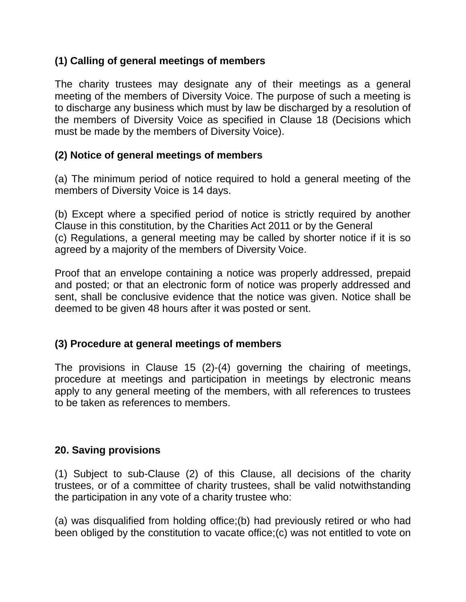# **(1) Calling of general meetings of members**

The charity trustees may designate any of their meetings as a general meeting of the members of Diversity Voice. The purpose of such a meeting is to discharge any business which must by law be discharged by a resolution of the members of Diversity Voice as specified in Clause 18 (Decisions which must be made by the members of Diversity Voice).

# **(2) Notice of general meetings of members**

(a) The minimum period of notice required to hold a general meeting of the members of Diversity Voice is 14 days.

(b) Except where a specified period of notice is strictly required by another Clause in this constitution, by the Charities Act 2011 or by the General (c) Regulations, a general meeting may be called by shorter notice if it is so agreed by a majority of the members of Diversity Voice.

Proof that an envelope containing a notice was properly addressed, prepaid and posted; or that an electronic form of notice was properly addressed and sent, shall be conclusive evidence that the notice was given. Notice shall be deemed to be given 48 hours after it was posted or sent.

# **(3) Procedure at general meetings of members**

The provisions in Clause 15 (2)-(4) governing the chairing of meetings, procedure at meetings and participation in meetings by electronic means apply to any general meeting of the members, with all references to trustees to be taken as references to members.

# **20. Saving provisions**

(1) Subject to sub-Clause (2) of this Clause, all decisions of the charity trustees, or of a committee of charity trustees, shall be valid notwithstanding the participation in any vote of a charity trustee who:

(a) was disqualified from holding office;(b) had previously retired or who had been obliged by the constitution to vacate office;(c) was not entitled to vote on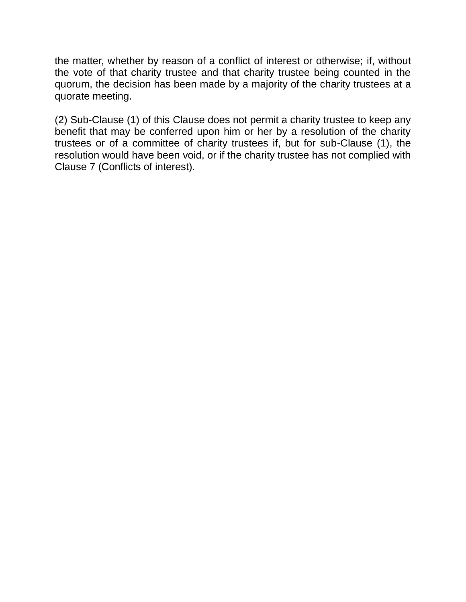the matter, whether by reason of a conflict of interest or otherwise; if, without the vote of that charity trustee and that charity trustee being counted in the quorum, the decision has been made by a majority of the charity trustees at a quorate meeting.

(2) Sub-Clause (1) of this Clause does not permit a charity trustee to keep any benefit that may be conferred upon him or her by a resolution of the charity trustees or of a committee of charity trustees if, but for sub-Clause (1), the resolution would have been void, or if the charity trustee has not complied with Clause 7 (Conflicts of interest).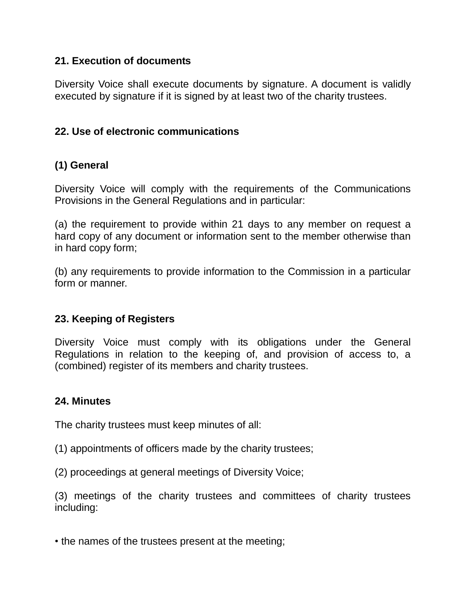### **21. Execution of documents**

Diversity Voice shall execute documents by signature. A document is validly executed by signature if it is signed by at least two of the charity trustees.

## **22. Use of electronic communications**

# **(1) General**

Diversity Voice will comply with the requirements of the Communications Provisions in the General Regulations and in particular:

(a) the requirement to provide within 21 days to any member on request a hard copy of any document or information sent to the member otherwise than in hard copy form;

(b) any requirements to provide information to the Commission in a particular form or manner.

# **23. Keeping of Registers**

Diversity Voice must comply with its obligations under the General Regulations in relation to the keeping of, and provision of access to, a (combined) register of its members and charity trustees.

# **24. Minutes**

The charity trustees must keep minutes of all:

- (1) appointments of officers made by the charity trustees;
- (2) proceedings at general meetings of Diversity Voice;

(3) meetings of the charity trustees and committees of charity trustees including:

• the names of the trustees present at the meeting;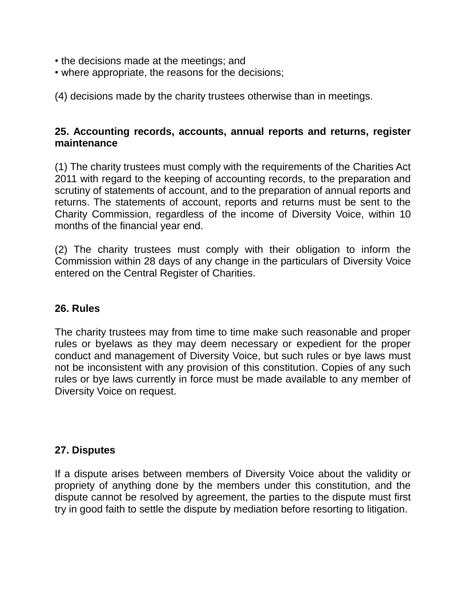- the decisions made at the meetings; and
- where appropriate, the reasons for the decisions;

(4) decisions made by the charity trustees otherwise than in meetings.

## **25. Accounting records, accounts, annual reports and returns, register maintenance**

(1) The charity trustees must comply with the requirements of the Charities Act 2011 with regard to the keeping of accounting records, to the preparation and scrutiny of statements of account, and to the preparation of annual reports and returns. The statements of account, reports and returns must be sent to the Charity Commission, regardless of the income of Diversity Voice, within 10 months of the financial year end.

(2) The charity trustees must comply with their obligation to inform the Commission within 28 days of any change in the particulars of Diversity Voice entered on the Central Register of Charities.

### **26. Rules**

The charity trustees may from time to time make such reasonable and proper rules or byelaws as they may deem necessary or expedient for the proper conduct and management of Diversity Voice, but such rules or bye laws must not be inconsistent with any provision of this constitution. Copies of any such rules or bye laws currently in force must be made available to any member of Diversity Voice on request.

### **27. Disputes**

If a dispute arises between members of Diversity Voice about the validity or propriety of anything done by the members under this constitution, and the dispute cannot be resolved by agreement, the parties to the dispute must first try in good faith to settle the dispute by mediation before resorting to litigation.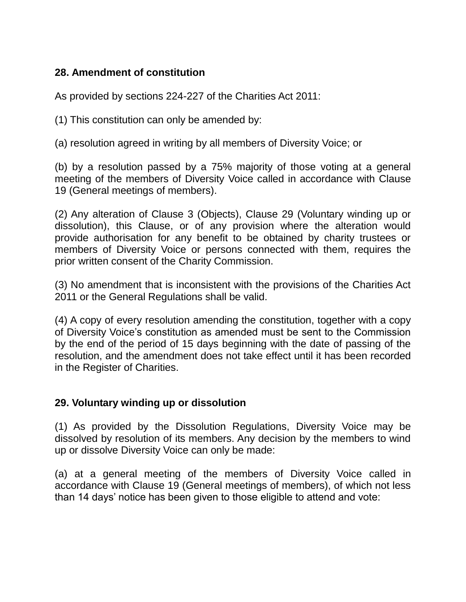# **28. Amendment of constitution**

As provided by sections 224-227 of the Charities Act 2011:

(1) This constitution can only be amended by:

(a) resolution agreed in writing by all members of Diversity Voice; or

(b) by a resolution passed by a 75% majority of those voting at a general meeting of the members of Diversity Voice called in accordance with Clause 19 (General meetings of members).

(2) Any alteration of Clause 3 (Objects), Clause 29 (Voluntary winding up or dissolution), this Clause, or of any provision where the alteration would provide authorisation for any benefit to be obtained by charity trustees or members of Diversity Voice or persons connected with them, requires the prior written consent of the Charity Commission.

(3) No amendment that is inconsistent with the provisions of the Charities Act 2011 or the General Regulations shall be valid.

(4) A copy of every resolution amending the constitution, together with a copy of Diversity Voice's constitution as amended must be sent to the Commission by the end of the period of 15 days beginning with the date of passing of the resolution, and the amendment does not take effect until it has been recorded in the Register of Charities.

# **29. Voluntary winding up or dissolution**

(1) As provided by the Dissolution Regulations, Diversity Voice may be dissolved by resolution of its members. Any decision by the members to wind up or dissolve Diversity Voice can only be made:

(a) at a general meeting of the members of Diversity Voice called in accordance with Clause 19 (General meetings of members), of which not less than 14 days' notice has been given to those eligible to attend and vote: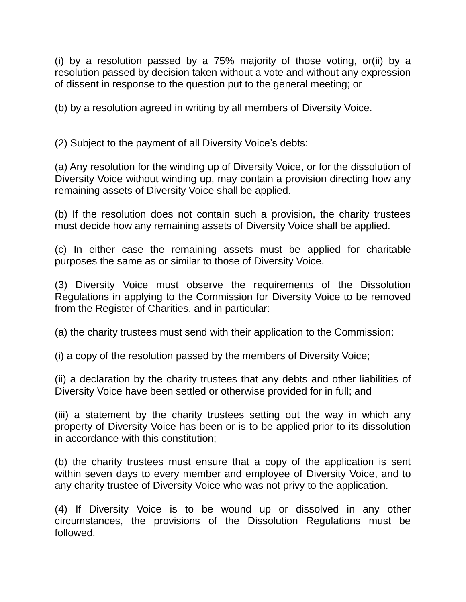(i) by a resolution passed by a 75% majority of those voting, or(ii) by a resolution passed by decision taken without a vote and without any expression of dissent in response to the question put to the general meeting; or

(b) by a resolution agreed in writing by all members of Diversity Voice.

(2) Subject to the payment of all Diversity Voice's debts:

(a) Any resolution for the winding up of Diversity Voice, or for the dissolution of Diversity Voice without winding up, may contain a provision directing how any remaining assets of Diversity Voice shall be applied.

(b) If the resolution does not contain such a provision, the charity trustees must decide how any remaining assets of Diversity Voice shall be applied.

(c) In either case the remaining assets must be applied for charitable purposes the same as or similar to those of Diversity Voice.

(3) Diversity Voice must observe the requirements of the Dissolution Regulations in applying to the Commission for Diversity Voice to be removed from the Register of Charities, and in particular:

(a) the charity trustees must send with their application to the Commission:

(i) a copy of the resolution passed by the members of Diversity Voice;

(ii) a declaration by the charity trustees that any debts and other liabilities of Diversity Voice have been settled or otherwise provided for in full; and

(iii) a statement by the charity trustees setting out the way in which any property of Diversity Voice has been or is to be applied prior to its dissolution in accordance with this constitution;

(b) the charity trustees must ensure that a copy of the application is sent within seven days to every member and employee of Diversity Voice, and to any charity trustee of Diversity Voice who was not privy to the application.

(4) If Diversity Voice is to be wound up or dissolved in any other circumstances, the provisions of the Dissolution Regulations must be followed.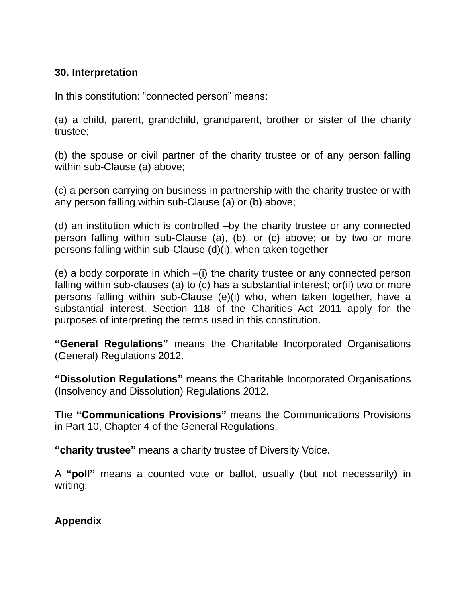# **30. Interpretation**

In this constitution: "connected person" means:

(a) a child, parent, grandchild, grandparent, brother or sister of the charity trustee;

(b) the spouse or civil partner of the charity trustee or of any person falling within sub-Clause (a) above;

(c) a person carrying on business in partnership with the charity trustee or with any person falling within sub-Clause (a) or (b) above;

(d) an institution which is controlled –by the charity trustee or any connected person falling within sub-Clause (a), (b), or (c) above; or by two or more persons falling within sub-Clause (d)(i), when taken together

(e) a body corporate in which –(i) the charity trustee or any connected person falling within sub-clauses (a) to (c) has a substantial interest; or(ii) two or more persons falling within sub-Clause (e)(i) who, when taken together, have a substantial interest. Section 118 of the Charities Act 2011 apply for the purposes of interpreting the terms used in this constitution.

**"General Regulations"** means the Charitable Incorporated Organisations (General) Regulations 2012.

**"Dissolution Regulations"** means the Charitable Incorporated Organisations (Insolvency and Dissolution) Regulations 2012.

The **"Communications Provisions"** means the Communications Provisions in Part 10, Chapter 4 of the General Regulations.

**"charity trustee"** means a charity trustee of Diversity Voice.

A **"poll"** means a counted vote or ballot, usually (but not necessarily) in writing.

### **Appendix**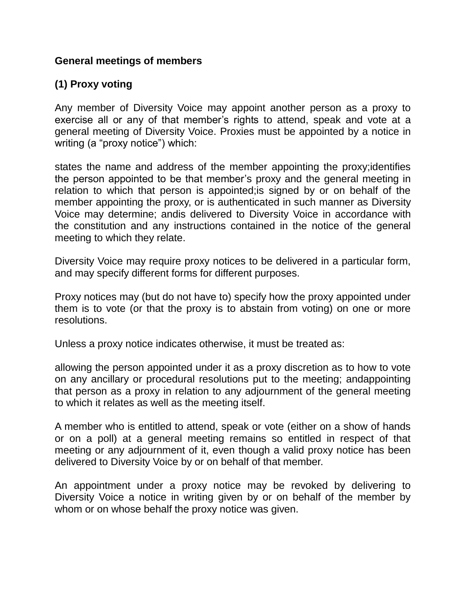### **General meetings of members**

# **(1) Proxy voting**

Any member of Diversity Voice may appoint another person as a proxy to exercise all or any of that member's rights to attend, speak and vote at a general meeting of Diversity Voice. Proxies must be appointed by a notice in writing (a "proxy notice") which:

states the name and address of the member appointing the proxy;identifies the person appointed to be that member's proxy and the general meeting in relation to which that person is appointed;is signed by or on behalf of the member appointing the proxy, or is authenticated in such manner as Diversity Voice may determine; andis delivered to Diversity Voice in accordance with the constitution and any instructions contained in the notice of the general meeting to which they relate.

Diversity Voice may require proxy notices to be delivered in a particular form, and may specify different forms for different purposes.

Proxy notices may (but do not have to) specify how the proxy appointed under them is to vote (or that the proxy is to abstain from voting) on one or more resolutions.

Unless a proxy notice indicates otherwise, it must be treated as:

allowing the person appointed under it as a proxy discretion as to how to vote on any ancillary or procedural resolutions put to the meeting; andappointing that person as a proxy in relation to any adjournment of the general meeting to which it relates as well as the meeting itself.

A member who is entitled to attend, speak or vote (either on a show of hands or on a poll) at a general meeting remains so entitled in respect of that meeting or any adjournment of it, even though a valid proxy notice has been delivered to Diversity Voice by or on behalf of that member.

An appointment under a proxy notice may be revoked by delivering to Diversity Voice a notice in writing given by or on behalf of the member by whom or on whose behalf the proxy notice was given.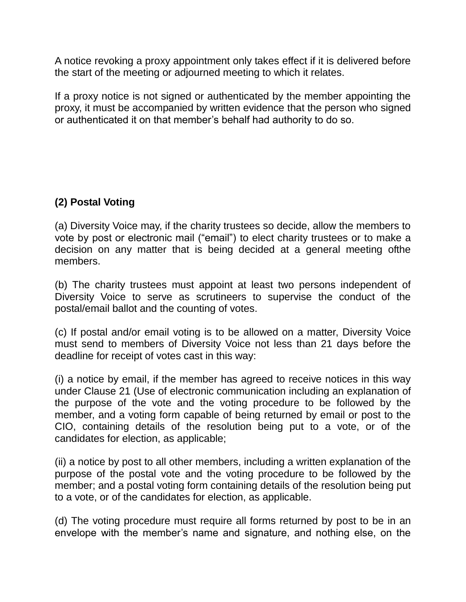A notice revoking a proxy appointment only takes effect if it is delivered before the start of the meeting or adjourned meeting to which it relates.

If a proxy notice is not signed or authenticated by the member appointing the proxy, it must be accompanied by written evidence that the person who signed or authenticated it on that member's behalf had authority to do so.

# **(2) Postal Voting**

(a) Diversity Voice may, if the charity trustees so decide, allow the members to vote by post or electronic mail ("email") to elect charity trustees or to make a decision on any matter that is being decided at a general meeting ofthe members.

(b) The charity trustees must appoint at least two persons independent of Diversity Voice to serve as scrutineers to supervise the conduct of the postal/email ballot and the counting of votes.

(c) If postal and/or email voting is to be allowed on a matter, Diversity Voice must send to members of Diversity Voice not less than 21 days before the deadline for receipt of votes cast in this way:

(i) a notice by email, if the member has agreed to receive notices in this way under Clause 21 (Use of electronic communication including an explanation of the purpose of the vote and the voting procedure to be followed by the member, and a voting form capable of being returned by email or post to the CIO, containing details of the resolution being put to a vote, or of the candidates for election, as applicable;

(ii) a notice by post to all other members, including a written explanation of the purpose of the postal vote and the voting procedure to be followed by the member; and a postal voting form containing details of the resolution being put to a vote, or of the candidates for election, as applicable.

(d) The voting procedure must require all forms returned by post to be in an envelope with the member's name and signature, and nothing else, on the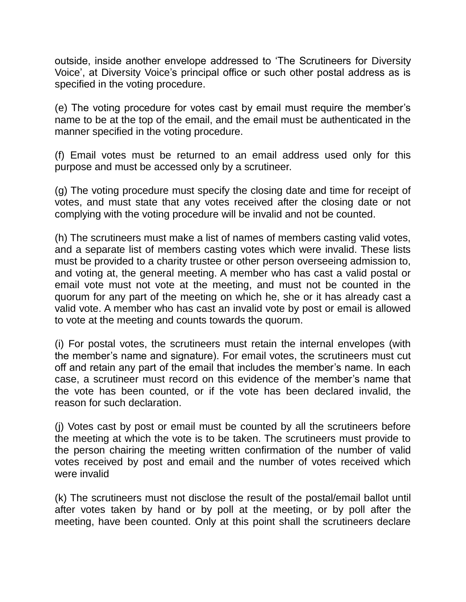outside, inside another envelope addressed to 'The Scrutineers for Diversity Voice', at Diversity Voice's principal office or such other postal address as is specified in the voting procedure.

(e) The voting procedure for votes cast by email must require the member's name to be at the top of the email, and the email must be authenticated in the manner specified in the voting procedure.

(f) Email votes must be returned to an email address used only for this purpose and must be accessed only by a scrutineer.

(g) The voting procedure must specify the closing date and time for receipt of votes, and must state that any votes received after the closing date or not complying with the voting procedure will be invalid and not be counted.

(h) The scrutineers must make a list of names of members casting valid votes, and a separate list of members casting votes which were invalid. These lists must be provided to a charity trustee or other person overseeing admission to, and voting at, the general meeting. A member who has cast a valid postal or email vote must not vote at the meeting, and must not be counted in the quorum for any part of the meeting on which he, she or it has already cast a valid vote. A member who has cast an invalid vote by post or email is allowed to vote at the meeting and counts towards the quorum.

(i) For postal votes, the scrutineers must retain the internal envelopes (with the member's name and signature). For email votes, the scrutineers must cut off and retain any part of the email that includes the member's name. In each case, a scrutineer must record on this evidence of the member's name that the vote has been counted, or if the vote has been declared invalid, the reason for such declaration.

(j) Votes cast by post or email must be counted by all the scrutineers before the meeting at which the vote is to be taken. The scrutineers must provide to the person chairing the meeting written confirmation of the number of valid votes received by post and email and the number of votes received which were invalid

(k) The scrutineers must not disclose the result of the postal/email ballot until after votes taken by hand or by poll at the meeting, or by poll after the meeting, have been counted. Only at this point shall the scrutineers declare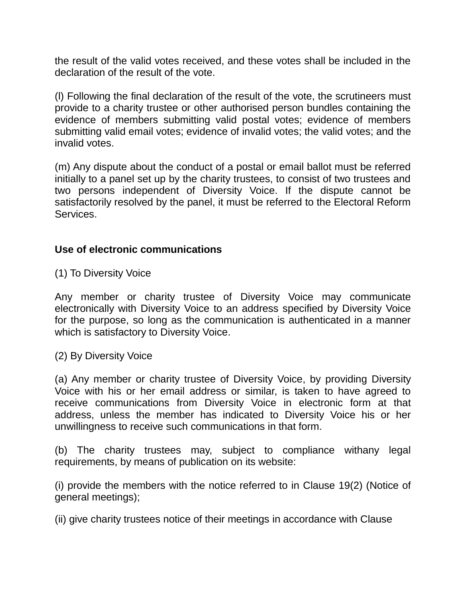the result of the valid votes received, and these votes shall be included in the declaration of the result of the vote.

(l) Following the final declaration of the result of the vote, the scrutineers must provide to a charity trustee or other authorised person bundles containing the evidence of members submitting valid postal votes; evidence of members submitting valid email votes; evidence of invalid votes; the valid votes; and the invalid votes.

(m) Any dispute about the conduct of a postal or email ballot must be referred initially to a panel set up by the charity trustees, to consist of two trustees and two persons independent of Diversity Voice. If the dispute cannot be satisfactorily resolved by the panel, it must be referred to the Electoral Reform Services.

#### **Use of electronic communications**

(1) To Diversity Voice

Any member or charity trustee of Diversity Voice may communicate electronically with Diversity Voice to an address specified by Diversity Voice for the purpose, so long as the communication is authenticated in a manner which is satisfactory to Diversity Voice.

(2) By Diversity Voice

(a) Any member or charity trustee of Diversity Voice, by providing Diversity Voice with his or her email address or similar, is taken to have agreed to receive communications from Diversity Voice in electronic form at that address, unless the member has indicated to Diversity Voice his or her unwillingness to receive such communications in that form.

(b) The charity trustees may, subject to compliance withany legal requirements, by means of publication on its website:

(i) provide the members with the notice referred to in Clause 19(2) (Notice of general meetings);

(ii) give charity trustees notice of their meetings in accordance with Clause